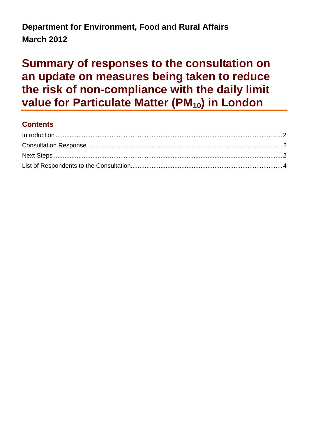## **Department for Environment, Food and Rural Affairs March 2012**

# **Summary of responses to the consultation on an update on measures being taken to reduce the risk of non-compliance with the daily limit**  value for Particulate Matter (PM<sub>10</sub>) in London

#### **Contents**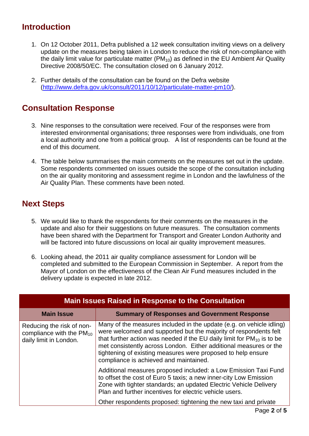#### <span id="page-1-0"></span>**Introduction**

- 1. On 12 October 2011, Defra published a 12 week consultation inviting views on a delivery update on the measures being taken in London to reduce the risk of non-compliance with the daily limit value for particulate matter  $(PM_{10})$  as defined in the EU Ambient Air Quality Directive 2008/50/EC. The consultation closed on 6 January 2012.
- 2. Further details of the consultation can be found on the Defra website ([http://www.defra.gov.uk/consult/2011/10/12/particulate-matter-pm10/\)](http://www.defra.gov.uk/consult/2011/10/12/particulate-matter-pm10/).

#### **Consultation Response**

- 3. Nine responses to the consultation were received. Four of the responses were from interested environmental organisations; three responses were from individuals, one from a local authority and one from a political group. A list of respondents can be found at the end of this document.
- 4. The table below summarises the main comments on the measures set out in the update. Some respondents commented on issues outside the scope of the consultation including on the air quality monitoring and assessment regime in London and the lawfulness of the Air Quality Plan. These comments have been noted.

#### **Next Steps**

- 5. We would like to thank the respondents for their comments on the measures in the update and also for their suggestions on future measures. The consultation comments have been shared with the Department for Transport and Greater London Authority and will be factored into future discussions on local air quality improvement measures.
- 6. Looking ahead, the 2011 air quality compliance assessment for London will be completed and submitted to the European Commission in September. A report from the Mayor of London on the effectiveness of the Clean Air Fund measures included in the delivery update is expected in late 2012.

| <b>Main Issues Raised in Response to the Consultation</b>                            |                                                                                                                                                                                                                                                                                                                                                                                                        |  |
|--------------------------------------------------------------------------------------|--------------------------------------------------------------------------------------------------------------------------------------------------------------------------------------------------------------------------------------------------------------------------------------------------------------------------------------------------------------------------------------------------------|--|
| <b>Main Issue</b>                                                                    | <b>Summary of Responses and Government Response</b>                                                                                                                                                                                                                                                                                                                                                    |  |
| Reducing the risk of non-<br>compliance with the $PM_{10}$<br>daily limit in London. | Many of the measures included in the update (e.g. on vehicle idling)<br>were welcomed and supported but the majority of respondents felt<br>that further action was needed if the EU daily limit for $PM_{10}$ is to be<br>met consistently across London. Either additional measures or the<br>tightening of existing measures were proposed to help ensure<br>compliance is achieved and maintained. |  |
|                                                                                      | Additional measures proposed included: a Low Emission Taxi Fund<br>to offset the cost of Euro 5 taxis; a new inner-city Low Emission<br>Zone with tighter standards; an updated Electric Vehicle Delivery<br>Plan and further incentives for electric vehicle users.<br>Other respondents proposed: tightening the new taxi and private                                                                |  |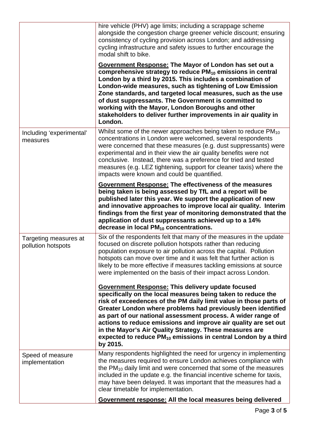|                                             | hire vehicle (PHV) age limits; including a scrappage scheme<br>alongside the congestion charge greener vehicle discount; ensuring<br>consistency of cycling provision across London; and addressing<br>cycling infrastructure and safety issues to further encourage the<br>modal shift to bike.<br><b>Government Response: The Mayor of London has set out a</b><br>comprehensive strategy to reduce PM <sub>10</sub> emissions in central<br>London by a third by 2015. This includes a combination of<br>London-wide measures, such as tightening of Low Emission<br>Zone standards, and targeted local measures, such as the use<br>of dust suppressants. The Government is committed to<br>working with the Mayor, London Boroughs and other<br>stakeholders to deliver further improvements in air quality in<br>London. |
|---------------------------------------------|--------------------------------------------------------------------------------------------------------------------------------------------------------------------------------------------------------------------------------------------------------------------------------------------------------------------------------------------------------------------------------------------------------------------------------------------------------------------------------------------------------------------------------------------------------------------------------------------------------------------------------------------------------------------------------------------------------------------------------------------------------------------------------------------------------------------------------|
| Including 'experimental'<br>measures        | Whilst some of the newer approaches being taken to reduce $PM_{10}$<br>concentrations in London were welcomed, several respondents<br>were concerned that these measures (e.g. dust suppressants) were<br>experimental and in their view the air quality benefits were not<br>conclusive. Instead, there was a preference for tried and tested<br>measures (e.g. LEZ tightening, support for cleaner taxis) where the<br>impacts were known and could be quantified.                                                                                                                                                                                                                                                                                                                                                           |
|                                             | <b>Government Response: The effectiveness of the measures</b><br>being taken is being assessed by TfL and a report will be<br>published later this year. We support the application of new<br>and innovative approaches to improve local air quality. Interim<br>findings from the first year of monitoring demonstrated that the<br>application of dust suppressants achieved up to a 14%<br>decrease in local PM <sub>10</sub> concentrations.                                                                                                                                                                                                                                                                                                                                                                               |
| Targeting measures at<br>pollution hotspots | Six of the respondents felt that many of the measures in the update<br>focused on discrete pollution hotspots rather than reducing<br>population exposure to air pollution across the capital. Pollution<br>hotspots can move over time and it was felt that further action is<br>likely to be more effective if measures tackling emissions at source<br>were implemented on the basis of their impact across London.                                                                                                                                                                                                                                                                                                                                                                                                         |
|                                             | <b>Government Response: This delivery update focused</b><br>specifically on the local measures being taken to reduce the<br>risk of exceedences of the PM daily limit value in those parts of<br>Greater London where problems had previously been identified<br>as part of our national assessment process. A wider range of<br>actions to reduce emissions and improve air quality are set out<br>in the Mayor's Air Quality Strategy. These measures are<br>expected to reduce $PM_{10}$ emissions in central London by a third<br>by 2015.                                                                                                                                                                                                                                                                                 |
| Speed of measure<br>implementation          | Many respondents highlighted the need for urgency in implementing<br>the measures required to ensure London achieves compliance with<br>the $PM_{10}$ daily limit and were concerned that some of the measures<br>included in the update e.g. the financial incentive scheme for taxis,<br>may have been delayed. It was important that the measures had a<br>clear timetable for implementation.                                                                                                                                                                                                                                                                                                                                                                                                                              |
|                                             | Government response: All the local measures being delivered                                                                                                                                                                                                                                                                                                                                                                                                                                                                                                                                                                                                                                                                                                                                                                    |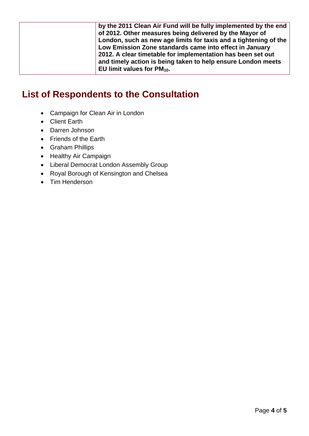<span id="page-3-0"></span>

| by the 2011 Clean Air Fund will be fully implemented by the end<br>of 2012. Other measures being delivered by the Mayor of<br>London, such as new age limits for taxis and a tightening of the<br>Low Emission Zone standards came into effect in January |
|-----------------------------------------------------------------------------------------------------------------------------------------------------------------------------------------------------------------------------------------------------------|
| 2012. A clear timetable for implementation has been set out<br>and timely action is being taken to help ensure London meets<br>EU limit values for $PM_{10}$ .                                                                                            |

### **List of Respondents to the Consultation**

- Campaign for Clean Air in London
- Client Earth
- Darren Johnson
- Friends of the Earth
- Graham Phillips
- Healthy Air Campaign
- Liberal Democrat London Assembly Group
- Royal Borough of Kensington and Chelsea
- Tim Henderson